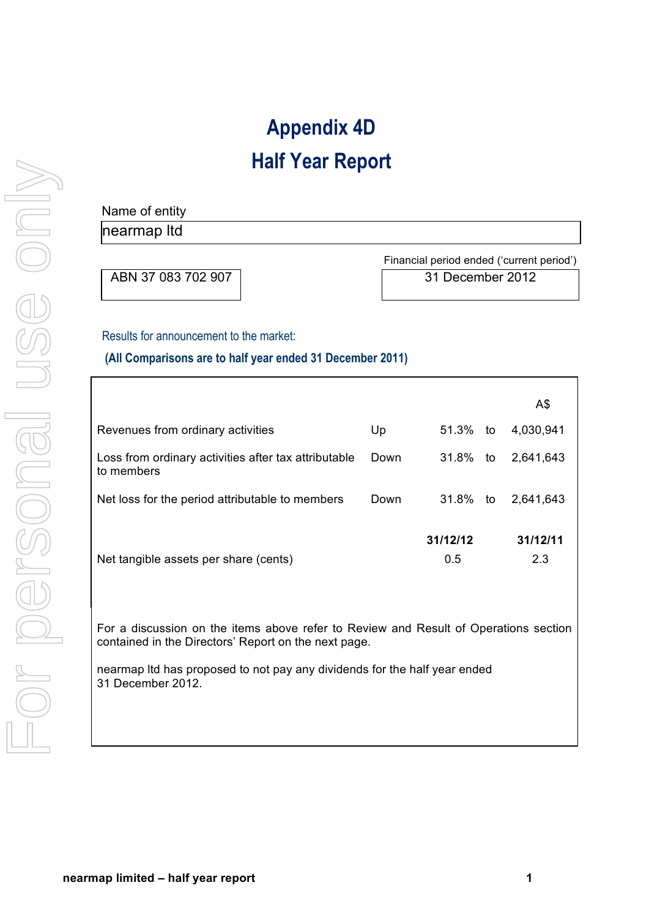# **Appendix 4D Half Year Report**

# For personal use only For personal use only

## Name of entity nearmap ltd

ABN 37 083 702 907 31 December 2012

Financial period ended ('current period')

#### Results for announcement to the market:

#### **(All Comparisons are to half year ended 31 December 2011)**

|                                                                    |      |                 |    | A\$             |
|--------------------------------------------------------------------|------|-----------------|----|-----------------|
| Revenues from ordinary activities                                  | Up   | 51.3%           | to | 4,030,941       |
| Loss from ordinary activities after tax attributable<br>to members | Down | 31.8%           | to | 2,641,643       |
| Net loss for the period attributable to members                    | Down | 31.8%           | to | 2,641,643       |
| Net tangible assets per share (cents)                              |      | 31/12/12<br>0.5 |    | 31/12/11<br>2.3 |

For a discussion on the items above refer to Review and Result of Operations section contained in the Directors' Report on the next page.

nearmap ltd has proposed to not pay any dividends for the half year ended 31 December 2012.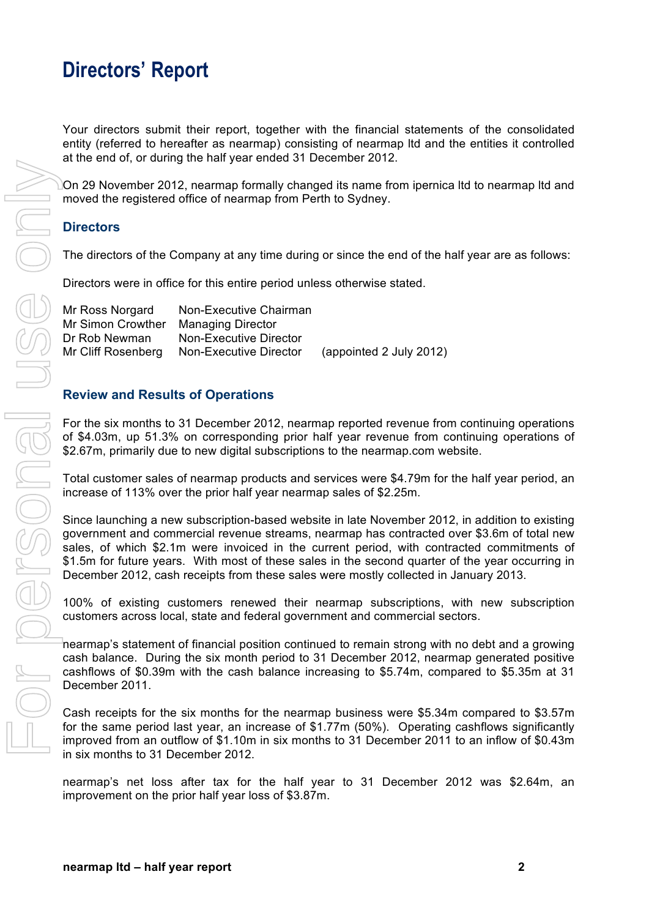## **Directors' Report**

Your directors submit their report, together with the financial statements of the consolidated entity (referred to hereafter as nearmap) consisting of nearmap ltd and the entities it controlled at the end of, or during the half year ended 31 December 2012.

On 29 November 2012, nearmap formally changed its name from ipernica ltd to nearmap ltd and moved the registered office of nearmap from Perth to Sydney.

#### **Directors**

The directors of the Company at any time during or since the end of the half year are as follows:

Directors were in office for this entire period unless otherwise stated.

Mr Ross Norgard Non-Executive Chairman Mr Simon Crowther Managing Director Dr Rob Newman Non-Executive Director Mr Cliff Rosenberg Non-Executive Director (appointed 2 July 2012)

#### **Review and Results of Operations**

For the six months to 31 December 2012, nearmap reported revenue from continuing operations of \$4.03m, up 51.3% on corresponding prior half year revenue from continuing operations of \$2.67m, primarily due to new digital subscriptions to the nearmap.com website.

Total customer sales of nearmap products and services were \$4.79m for the half year period, an increase of 113% over the prior half year nearmap sales of \$2.25m.

Since launching a new subscription-based website in late November 2012, in addition to existing government and commercial revenue streams, nearmap has contracted over \$3.6m of total new sales, of which \$2.1m were invoiced in the current period, with contracted commitments of \$1.5m for future years. With most of these sales in the second quarter of the year occurring in December 2012, cash receipts from these sales were mostly collected in January 2013.

100% of existing customers renewed their nearmap subscriptions, with new subscription customers across local, state and federal government and commercial sectors.

nearmap's statement of financial position continued to remain strong with no debt and a growing cash balance. During the six month period to 31 December 2012, nearmap generated positive cashflows of \$0.39m with the cash balance increasing to \$5.74m, compared to \$5.35m at 31 December 2011.

Cash receipts for the six months for the nearmap business were \$5.34m compared to \$3.57m for the same period last year, an increase of \$1.77m (50%). Operating cashflows significantly improved from an outflow of \$1.10m in six months to 31 December 2011 to an inflow of \$0.43m in six months to 31 December 2012.

nearmap's net loss after tax for the half year to 31 December 2012 was \$2.64m, an improvement on the prior half year loss of \$3.87m.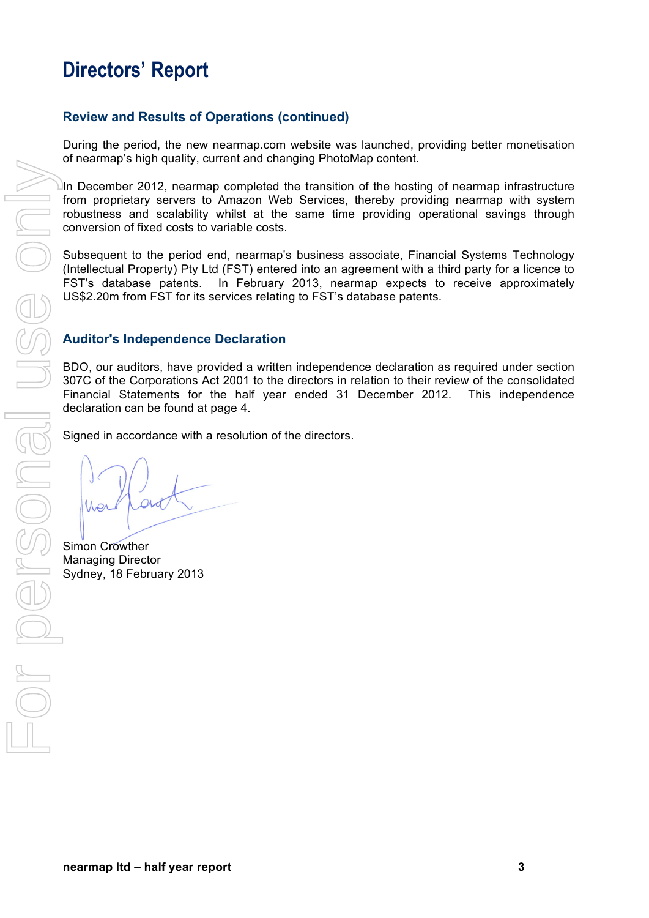## **Directors' Report**

#### **Review and Results of Operations (continued)**

During the period, the new nearmap.com website was launched, providing better monetisation of nearmap's high quality, current and changing PhotoMap content.

In December 2012, nearmap completed the transition of the hosting of nearmap infrastructure from proprietary servers to Amazon Web Services, thereby providing nearmap with system robustness and scalability whilst at the same time providing operational savings through conversion of fixed costs to variable costs.

Subsequent to the period end, nearmap's business associate, Financial Systems Technology (Intellectual Property) Pty Ltd (FST) entered into an agreement with a third party for a licence to FST's database patents. In February 2013, nearmap expects to receive approximately US\$2.20m from FST for its services relating to FST's database patents.

#### **Auditor's Independence Declaration**

BDO, our auditors, have provided a written independence declaration as required under section 307C of the Corporations Act 2001 to the directors in relation to their review of the consolidated Financial Statements for the half year ended 31 December 2012. This independence declaration can be found at page 4.

Signed in accordance with a resolution of the directors.

Simon Crowther Managing Director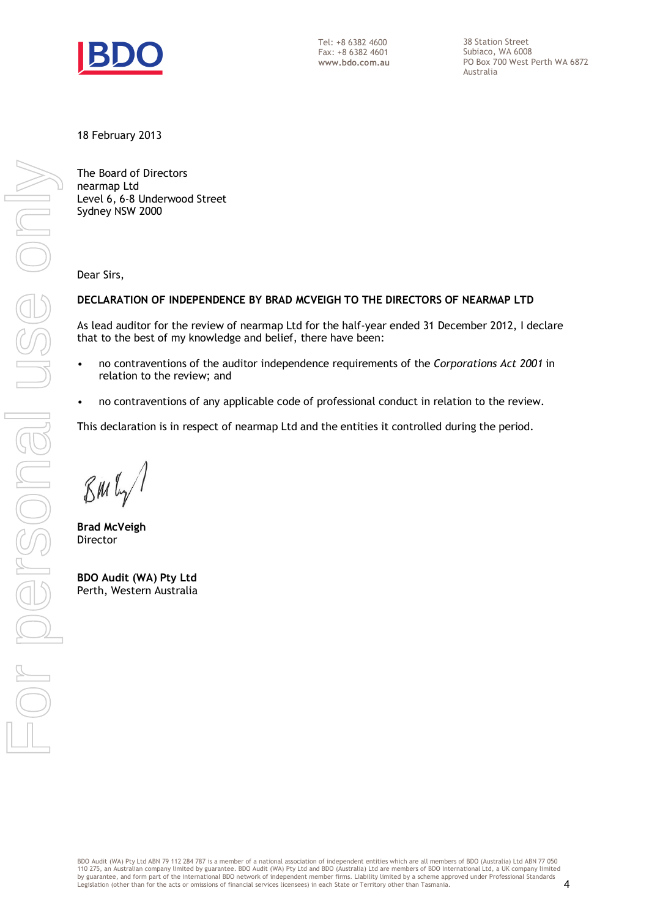

Tel: +8 6382 4600 Fax: +8 6382 4601 **www.bdo.com.au**  38 Station Street Subiaco, WA 6008 PO Box 700 West Perth WA 6872 Australia

18 February 2013

The Board of Directors nearmap Ltd Level 6, 6-8 Underwood Street Sydney NSW 2000

Dear Sirs,

#### **DECLARATION OF INDEPENDENCE BY BRAD MCVEIGH TO THE DIRECTORS OF NEARMAP LTD**

As lead auditor for the review of nearmap Ltd for the half-year ended 31 December 2012, I declare that to the best of my knowledge and belief, there have been:

- no contraventions of the auditor independence requirements of the *Corporations Act 2001* in relation to the review; and
- no contraventions of any applicable code of professional conduct in relation to the review.

This declaration is in respect of nearmap Ltd and the entities it controlled during the period.

**Brad McVeigh**  Director

**BDO Audit (WA) Pty Ltd**  Perth, Western Australia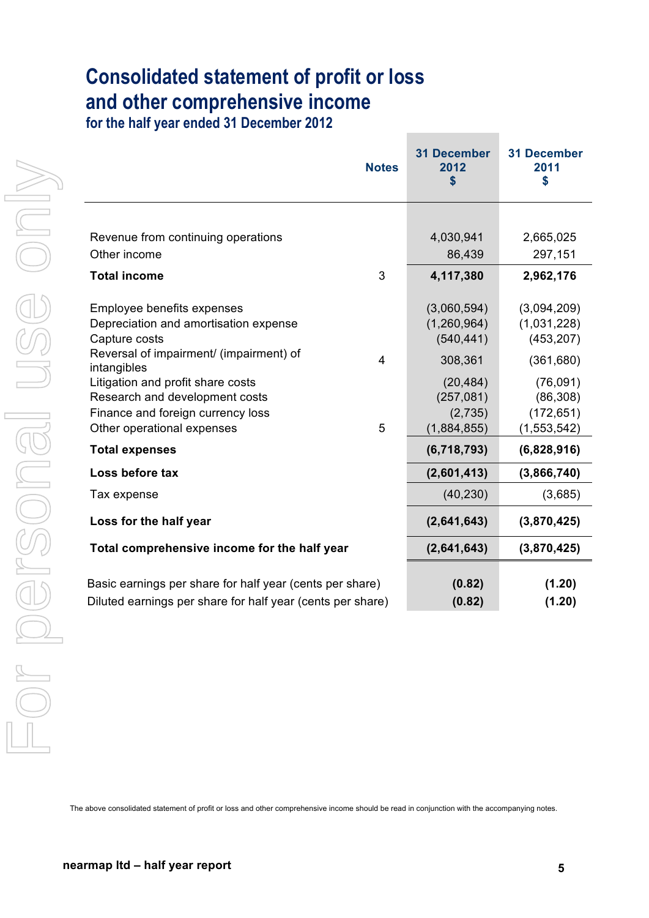# **Consolidated statement of profit or loss and other comprehensive income**

**for the half year ended 31 December 2012**

| 4,030,941<br>Revenue from continuing operations<br>Other income<br>86,439<br>3<br>4,117,380<br><b>Total income</b><br>(3,060,594)<br>Employee benefits expenses<br>Depreciation and amortisation expense<br>(1,260,964)<br>Capture costs<br>(540, 441)<br>Reversal of impairment/ (impairment) of<br>308,361<br>$\overline{4}$<br>intangibles<br>Litigation and profit share costs<br>(20, 484)<br>(257, 081)<br>Research and development costs<br>Finance and foreign currency loss |                       |
|--------------------------------------------------------------------------------------------------------------------------------------------------------------------------------------------------------------------------------------------------------------------------------------------------------------------------------------------------------------------------------------------------------------------------------------------------------------------------------------|-----------------------|
|                                                                                                                                                                                                                                                                                                                                                                                                                                                                                      |                       |
|                                                                                                                                                                                                                                                                                                                                                                                                                                                                                      | 2,665,025             |
|                                                                                                                                                                                                                                                                                                                                                                                                                                                                                      | 297,151               |
|                                                                                                                                                                                                                                                                                                                                                                                                                                                                                      | 2,962,176             |
|                                                                                                                                                                                                                                                                                                                                                                                                                                                                                      | (3,094,209)           |
|                                                                                                                                                                                                                                                                                                                                                                                                                                                                                      | (1,031,228)           |
|                                                                                                                                                                                                                                                                                                                                                                                                                                                                                      | (453, 207)            |
|                                                                                                                                                                                                                                                                                                                                                                                                                                                                                      | (361, 680)            |
|                                                                                                                                                                                                                                                                                                                                                                                                                                                                                      | (76,091)              |
|                                                                                                                                                                                                                                                                                                                                                                                                                                                                                      | (86, 308)             |
|                                                                                                                                                                                                                                                                                                                                                                                                                                                                                      | (172, 651)<br>(2,735) |
| Other operational expenses<br>5<br>(1,884,855)                                                                                                                                                                                                                                                                                                                                                                                                                                       | (1, 553, 542)         |
| (6,718,793)<br><b>Total expenses</b>                                                                                                                                                                                                                                                                                                                                                                                                                                                 | (6,828,916)           |
| (2,601,413)<br>Loss before tax                                                                                                                                                                                                                                                                                                                                                                                                                                                       | (3,866,740)           |
| (40, 230)<br>Tax expense                                                                                                                                                                                                                                                                                                                                                                                                                                                             | (3,685)               |
| Loss for the half year<br>(2,641,643)                                                                                                                                                                                                                                                                                                                                                                                                                                                | (3,870,425)           |
| (2,641,643)<br>Total comprehensive income for the half year                                                                                                                                                                                                                                                                                                                                                                                                                          | (3,870,425)           |
| Basic earnings per share for half year (cents per share)                                                                                                                                                                                                                                                                                                                                                                                                                             | (1.20)<br>(0.82)      |
| Diluted earnings per share for half year (cents per share)                                                                                                                                                                                                                                                                                                                                                                                                                           | (0.82)<br>(1.20)      |

The above consolidated statement of profit or loss and other comprehensive income should be read in conjunction with the accompanying notes.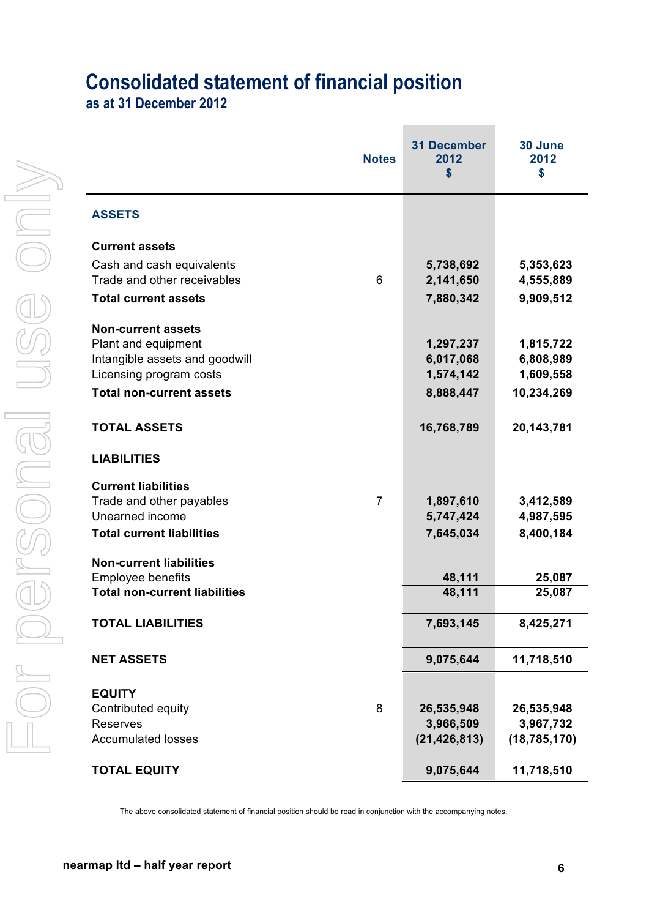# **Consolidated statement of financial position**

**as at 31 December 2012**

|                                                                  | <b>Notes</b>   | <b>31 December</b><br>2012<br>\$ | 30 June<br>2012<br>\$ |
|------------------------------------------------------------------|----------------|----------------------------------|-----------------------|
| <b>ASSETS</b>                                                    |                |                                  |                       |
| <b>Current assets</b>                                            |                |                                  |                       |
| Cash and cash equivalents                                        |                | 5,738,692                        | 5,353,623             |
| Trade and other receivables                                      | 6              | 2,141,650                        | 4,555,889             |
| <b>Total current assets</b>                                      |                | 7,880,342                        | 9,909,512             |
| <b>Non-current assets</b>                                        |                |                                  |                       |
| Plant and equipment                                              |                | 1,297,237                        | 1,815,722             |
| Intangible assets and goodwill                                   |                | 6,017,068                        | 6,808,989             |
| Licensing program costs                                          |                | 1,574,142                        | 1,609,558             |
| <b>Total non-current assets</b>                                  |                | 8,888,447                        | 10,234,269            |
| <b>TOTAL ASSETS</b>                                              |                | 16,768,789                       | 20,143,781            |
| <b>LIABILITIES</b>                                               |                |                                  |                       |
| <b>Current liabilities</b>                                       |                |                                  |                       |
| Trade and other payables                                         | $\overline{7}$ | 1,897,610                        | 3,412,589             |
| Unearned income                                                  |                | 5,747,424                        | 4,987,595             |
| <b>Total current liabilities</b>                                 |                | 7,645,034                        | 8,400,184             |
| <b>Non-current liabilities</b>                                   |                |                                  |                       |
| <b>Employee benefits</b><br><b>Total non-current liabilities</b> |                | 48,111                           | 25,087                |
|                                                                  |                | 48,111                           | 25,087                |
| <b>TOTAL LIABILITIES</b>                                         |                | 7,693,145                        | 8,425,271             |
| <b>NET ASSETS</b>                                                |                | 9,075,644                        | 11,718,510            |
|                                                                  |                |                                  |                       |
| <b>EQUITY</b>                                                    |                |                                  |                       |
| Contributed equity                                               | 8              | 26,535,948                       | 26,535,948            |
| Reserves                                                         |                | 3,966,509                        | 3,967,732             |
| <b>Accumulated losses</b>                                        |                | (21, 426, 813)                   | (18, 785, 170)        |
| <b>TOTAL EQUITY</b>                                              |                | 9,075,644                        | 11,718,510            |

The above consolidated statement of financial position should be read in conjunction with the accompanying notes.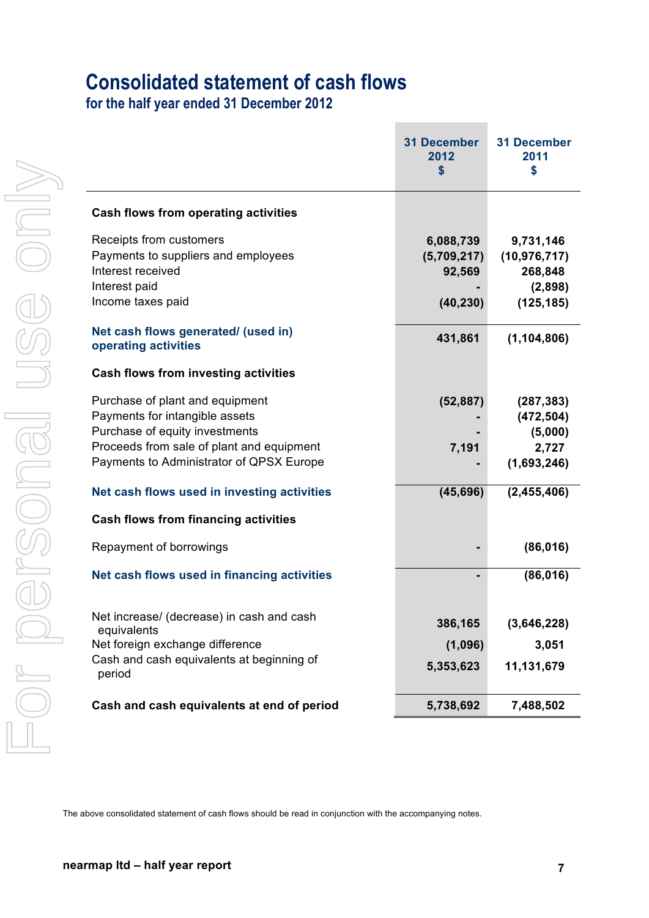## **Consolidated statement of cash flows**

**for the half year ended 31 December 2012**

|                                                                                                                                                                                              | <b>31 December</b><br>2012<br>\$                | <b>31 December</b><br>2011<br>\$                                |
|----------------------------------------------------------------------------------------------------------------------------------------------------------------------------------------------|-------------------------------------------------|-----------------------------------------------------------------|
| <b>Cash flows from operating activities</b>                                                                                                                                                  |                                                 |                                                                 |
| Receipts from customers<br>Payments to suppliers and employees<br>Interest received<br>Interest paid<br>Income taxes paid                                                                    | 6,088,739<br>(5,709,217)<br>92,569<br>(40, 230) | 9,731,146<br>(10, 976, 717)<br>268,848<br>(2,898)<br>(125, 185) |
| Net cash flows generated/ (used in)<br>operating activities                                                                                                                                  | 431,861                                         | (1, 104, 806)                                                   |
| <b>Cash flows from investing activities</b>                                                                                                                                                  |                                                 |                                                                 |
| Purchase of plant and equipment<br>Payments for intangible assets<br>Purchase of equity investments<br>Proceeds from sale of plant and equipment<br>Payments to Administrator of QPSX Europe | (52, 887)<br>7,191                              | (287, 383)<br>(472, 504)<br>(5,000)<br>2,727<br>(1,693,246)     |
| Net cash flows used in investing activities                                                                                                                                                  | (45, 696)                                       | (2,455,406)                                                     |
| <b>Cash flows from financing activities</b>                                                                                                                                                  |                                                 |                                                                 |
| Repayment of borrowings                                                                                                                                                                      |                                                 | (86, 016)                                                       |
| Net cash flows used in financing activities                                                                                                                                                  |                                                 | (86, 016)                                                       |
| Net increase/ (decrease) in cash and cash<br>equivalents<br>Net foreign exchange difference                                                                                                  | 386,165<br>(1,096)                              | (3,646,228)<br>3,051                                            |
| Cash and cash equivalents at beginning of<br>period                                                                                                                                          | 5,353,623                                       | 11,131,679                                                      |
| Cash and cash equivalents at end of period                                                                                                                                                   | 5,738,692                                       | 7,488,502                                                       |
|                                                                                                                                                                                              |                                                 |                                                                 |
| The above consolidated statement of cash flows should be read in conjunction with the accompanying notes.                                                                                    |                                                 |                                                                 |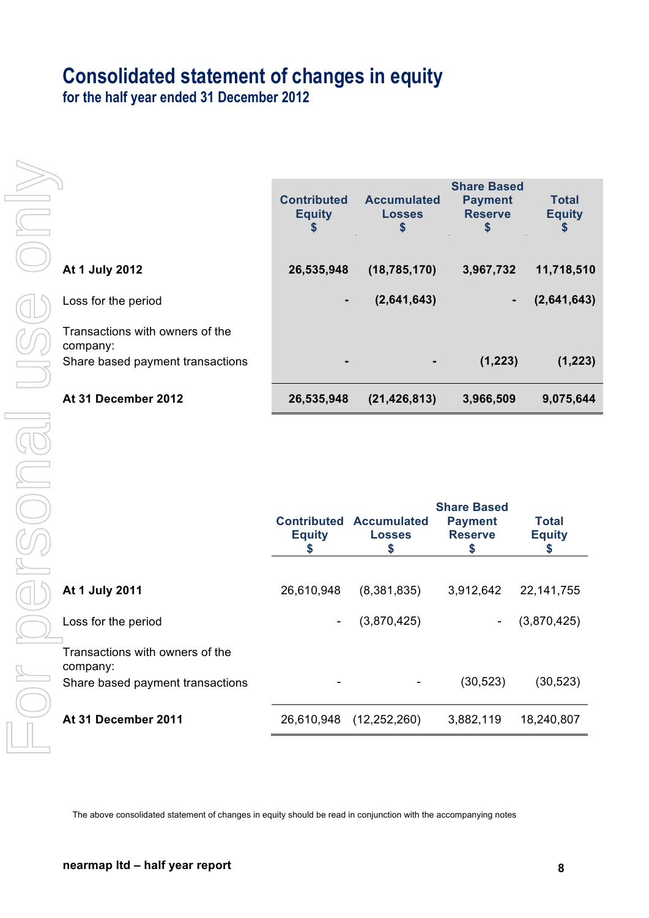## **Consolidated statement of changes in equity**

**for the half year ended 31 December 2012**

|                                                                                 | <b>Contributed</b><br><b>Equity</b><br>\$ | <b>Accumulated</b><br><b>Losses</b><br>S | <b>Share Based</b><br><b>Payment</b><br><b>Reserve</b><br>S | <b>Total</b><br><b>Equity</b><br>5 |
|---------------------------------------------------------------------------------|-------------------------------------------|------------------------------------------|-------------------------------------------------------------|------------------------------------|
| At 1 July 2012                                                                  | 26,535,948                                | (18, 785, 170)                           | 3,967,732                                                   | 11,718,510                         |
| Loss for the period                                                             | ٠                                         | (2,641,643)                              | ٠                                                           | (2,641,643)                        |
| Transactions with owners of the<br>company:<br>Share based payment transactions |                                           |                                          | (1, 223)                                                    | (1, 223)                           |
| At 31 December 2012                                                             | 26,535,948                                | (21, 426, 813)                           | 3,966,509                                                   | 9,075,644                          |

|                                             | <b>Equity</b>            | <b>Contributed Accumulated</b><br><b>Losses</b><br>S | <b>Share Based</b><br><b>Payment</b><br><b>Reserve</b> | <b>Total</b><br><b>Equity</b> |
|---------------------------------------------|--------------------------|------------------------------------------------------|--------------------------------------------------------|-------------------------------|
|                                             |                          |                                                      |                                                        |                               |
| At 1 July 2011                              | 26,610,948               | (8,381,835)                                          | 3,912,642                                              | 22, 141, 755                  |
| Loss for the period                         | $\overline{\phantom{a}}$ | (3,870,425)                                          |                                                        | (3,870,425)                   |
| Transactions with owners of the<br>company: |                          |                                                      |                                                        |                               |
| Share based payment transactions            |                          |                                                      | (30, 523)                                              | (30, 523)                     |
| At 31 December 2011                         | 26,610,948               | (12, 252, 260)                                       | 3,882,119                                              | 18,240,807                    |

The above consolidated statement of changes in equity should be read in conjunction with the accompanying notes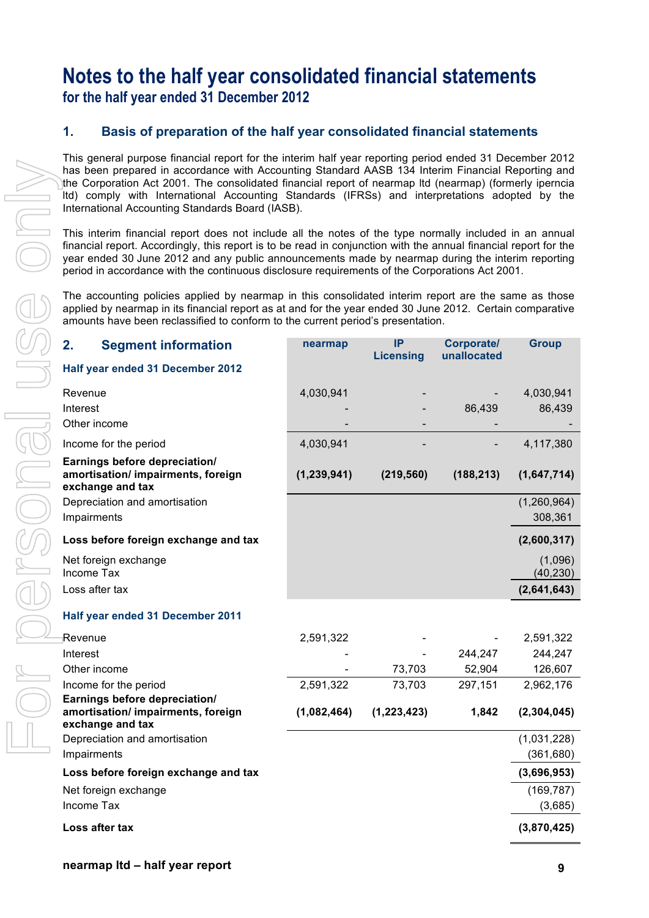## **Notes to the half year consolidated financial statements for the half year ended 31 December 2012**

#### **1. Basis of preparation of the half year consolidated financial statements**

This general purpose financial report for the interim half year reporting period ended 31 December 2012 has been prepared in accordance with Accounting Standard AASB 134 Interim Financial Reporting and the Corporation Act 2001. The consolidated financial report of nearmap ltd (nearmap) (formerly iperncia ltd) comply with International Accounting Standards (IFRSs) and interpretations adopted by the International Accounting Standards Board (IASB).

This interim financial report does not include all the notes of the type normally included in an annual financial report. Accordingly, this report is to be read in conjunction with the annual financial report for the year ended 30 June 2012 and any public announcements made by nearmap during the interim reporting period in accordance with the continuous disclosure requirements of the Corporations Act 2001.

The accounting policies applied by nearmap in this consolidated interim report are the same as those applied by nearmap in its financial report as at and for the year ended 30 June 2012. Certain comparative amounts have been reclassified to conform to the current period's presentation.

| 2.                | <b>Segment information</b>                                                              | nearmap       | <b>IP</b>        | <b>Corporate/</b><br>unallocated | <b>Group</b>         |
|-------------------|-----------------------------------------------------------------------------------------|---------------|------------------|----------------------------------|----------------------|
|                   | Half year ended 31 December 2012                                                        |               | <b>Licensing</b> |                                  |                      |
| Revenue           |                                                                                         | 4,030,941     |                  |                                  | 4,030,941            |
| Interest          |                                                                                         |               |                  | 86,439                           | 86,439               |
| Other income      |                                                                                         |               |                  |                                  |                      |
|                   | Income for the period                                                                   | 4,030,941     |                  |                                  | 4,117,380            |
|                   | Earnings before depreciation/                                                           |               |                  |                                  |                      |
|                   | amortisation/ impairments, foreign<br>exchange and tax                                  | (1, 239, 941) | (219, 560)       | (188, 213)                       | (1,647,714)          |
|                   | Depreciation and amortisation                                                           |               |                  |                                  | (1,260,964)          |
| Impairments       |                                                                                         |               |                  |                                  | 308,361              |
|                   | Loss before foreign exchange and tax                                                    |               |                  |                                  | (2,600,317)          |
| <b>Income Tax</b> | Net foreign exchange                                                                    |               |                  |                                  | (1,096)<br>(40, 230) |
| Loss after tax    |                                                                                         |               |                  |                                  | (2,641,643)          |
|                   | Half year ended 31 December 2011                                                        |               |                  |                                  |                      |
| Revenue           |                                                                                         | 2,591,322     |                  |                                  | 2,591,322            |
| Interest          |                                                                                         |               |                  | 244,247                          | 244,247              |
| Other income      |                                                                                         |               | 73,703           | 52,904                           | 126,607              |
|                   | Income for the period                                                                   | 2,591,322     | 73,703           | 297,151                          | 2,962,176            |
|                   | Earnings before depreciation/<br>amortisation/ impairments, foreign<br>exchange and tax | (1,082,464)   | (1, 223, 423)    | 1,842                            | (2, 304, 045)        |
|                   | Depreciation and amortisation                                                           |               |                  |                                  | (1,031,228)          |
| Impairments       |                                                                                         |               |                  |                                  | (361, 680)           |
|                   | Loss before foreign exchange and tax                                                    |               |                  |                                  | (3,696,953)          |
|                   | Net foreign exchange                                                                    |               |                  |                                  | (169, 787)           |
| Income Tax        |                                                                                         |               |                  |                                  | (3,685)              |
|                   | Loss after tax                                                                          |               |                  |                                  | (3,870,425)          |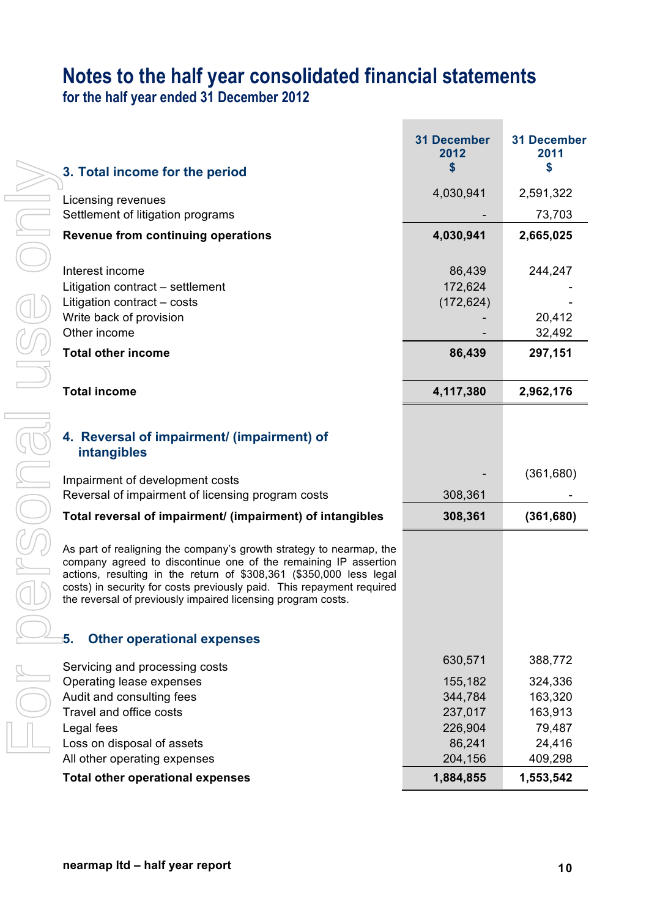# **Notes to the half year consolidated financial statements**

**for the half year ended 31 December 2012**

|                                                                                                                                                                                                                                                                                                                                                        | <b>31 December</b><br>2012<br>\$ | <b>31 December</b><br>2011<br>\$ |
|--------------------------------------------------------------------------------------------------------------------------------------------------------------------------------------------------------------------------------------------------------------------------------------------------------------------------------------------------------|----------------------------------|----------------------------------|
| 3. Total income for the period                                                                                                                                                                                                                                                                                                                         |                                  |                                  |
| Licensing revenues                                                                                                                                                                                                                                                                                                                                     | 4,030,941                        | 2,591,322                        |
| Settlement of litigation programs                                                                                                                                                                                                                                                                                                                      |                                  | 73,703                           |
| <b>Revenue from continuing operations</b>                                                                                                                                                                                                                                                                                                              | 4,030,941                        | 2,665,025                        |
|                                                                                                                                                                                                                                                                                                                                                        |                                  |                                  |
| Interest income                                                                                                                                                                                                                                                                                                                                        | 86,439                           | 244,247                          |
| Litigation contract – settlement                                                                                                                                                                                                                                                                                                                       | 172,624                          |                                  |
| Litigation contract - costs<br>Write back of provision                                                                                                                                                                                                                                                                                                 | (172, 624)                       | 20,412                           |
| Other income                                                                                                                                                                                                                                                                                                                                           |                                  | 32,492                           |
| <b>Total other income</b>                                                                                                                                                                                                                                                                                                                              | 86,439                           | 297,151                          |
|                                                                                                                                                                                                                                                                                                                                                        |                                  |                                  |
| <b>Total income</b>                                                                                                                                                                                                                                                                                                                                    | 4,117,380                        | 2,962,176                        |
|                                                                                                                                                                                                                                                                                                                                                        |                                  |                                  |
| 4. Reversal of impairment/ (impairment) of<br>intangibles                                                                                                                                                                                                                                                                                              |                                  |                                  |
| Impairment of development costs                                                                                                                                                                                                                                                                                                                        |                                  | (361,680)                        |
| Reversal of impairment of licensing program costs                                                                                                                                                                                                                                                                                                      | 308,361                          |                                  |
| Total reversal of impairment/ (impairment) of intangibles                                                                                                                                                                                                                                                                                              | 308,361                          | (361, 680)                       |
| As part of realigning the company's growth strategy to nearmap, the<br>company agreed to discontinue one of the remaining IP assertion<br>actions, resulting in the return of \$308,361 (\$350,000 less legal<br>costs) in security for costs previously paid. This repayment required<br>the reversal of previously impaired licensing program costs. |                                  |                                  |
| <b>Other operational expenses</b><br>5.                                                                                                                                                                                                                                                                                                                |                                  |                                  |
|                                                                                                                                                                                                                                                                                                                                                        | 630,571                          | 388,772                          |
| Servicing and processing costs<br>Operating lease expenses                                                                                                                                                                                                                                                                                             | 155,182                          | 324,336                          |
| Audit and consulting fees                                                                                                                                                                                                                                                                                                                              | 344,784                          | 163,320                          |
| Travel and office costs                                                                                                                                                                                                                                                                                                                                | 237,017                          | 163,913                          |
| Legal fees                                                                                                                                                                                                                                                                                                                                             | 226,904                          | 79,487                           |
| Loss on disposal of assets                                                                                                                                                                                                                                                                                                                             | 86,241                           | 24,416                           |
| All other operating expenses                                                                                                                                                                                                                                                                                                                           | 204,156                          | 409,298                          |
| <b>Total other operational expenses</b>                                                                                                                                                                                                                                                                                                                | 1,884,855                        | 1,553,542                        |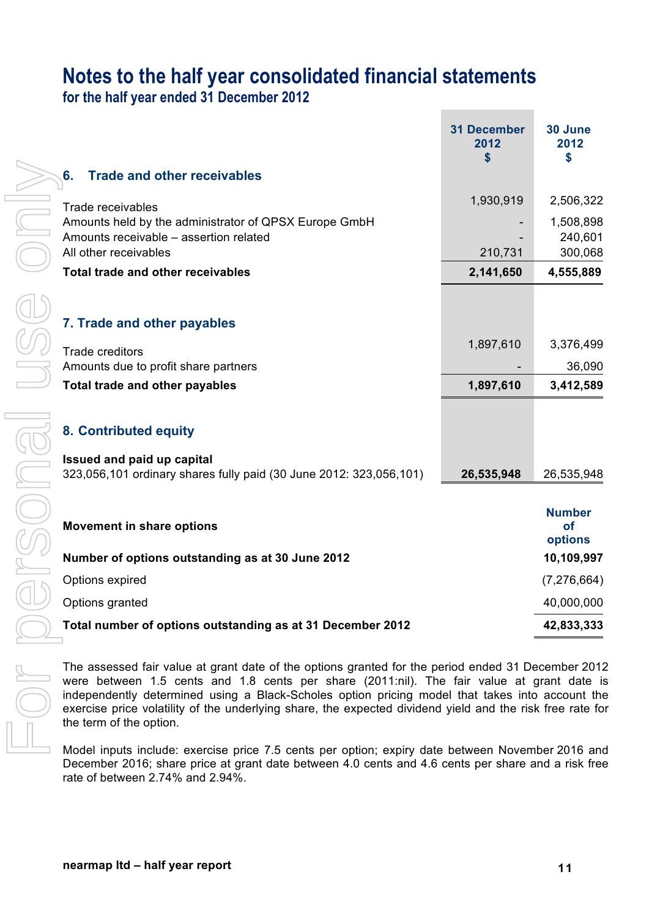## **Notes to the half year consolidated financial statements**

**for the half year ended 31 December 2012**

|                                                                    | <b>31 December</b><br>2012<br>\$ | 30 June<br>2012<br>\$                 |
|--------------------------------------------------------------------|----------------------------------|---------------------------------------|
| <b>Trade and other receivables</b><br>6.                           |                                  |                                       |
| Trade receivables                                                  | 1,930,919                        | 2,506,322                             |
| Amounts held by the administrator of QPSX Europe GmbH              |                                  | 1,508,898                             |
| Amounts receivable – assertion related<br>All other receivables    | 210,731                          | 240,601<br>300,068                    |
| <b>Total trade and other receivables</b>                           | 2,141,650                        | 4,555,889                             |
|                                                                    |                                  |                                       |
|                                                                    |                                  |                                       |
| 7. Trade and other payables                                        |                                  |                                       |
| <b>Trade creditors</b>                                             | 1,897,610                        | 3,376,499                             |
| Amounts due to profit share partners                               |                                  | 36,090                                |
| <b>Total trade and other payables</b>                              | 1,897,610                        | 3,412,589                             |
|                                                                    |                                  |                                       |
| 8. Contributed equity                                              |                                  |                                       |
| Issued and paid up capital                                         |                                  |                                       |
| 323,056,101 ordinary shares fully paid (30 June 2012: 323,056,101) | 26,535,948                       | 26,535,948                            |
|                                                                    |                                  |                                       |
| <b>Movement in share options</b>                                   |                                  | <b>Number</b><br><b>of</b><br>options |
| Number of options outstanding as at 30 June 2012                   |                                  | 10,109,997                            |
| Options expired                                                    |                                  | (7, 276, 664)                         |
| Options granted                                                    |                                  | 40,000,000                            |
| Total number of options outstanding as at 31 December 2012         |                                  | 42,833,333                            |
|                                                                    |                                  |                                       |

The assessed fair value at grant date of the options granted for the period ended 31 December 2012 were between 1.5 cents and 1.8 cents per share (2011:nil). The fair value at grant date is independently determined using a Black-Scholes option pricing model that takes into account the exercise price volatility of the underlying share, the expected dividend yield and the risk free rate for the term of the option.

Model inputs include: exercise price 7.5 cents per option; expiry date between November 2016 and December 2016; share price at grant date between 4.0 cents and 4.6 cents per share and a risk free rate of between 2.74% and 2.94%.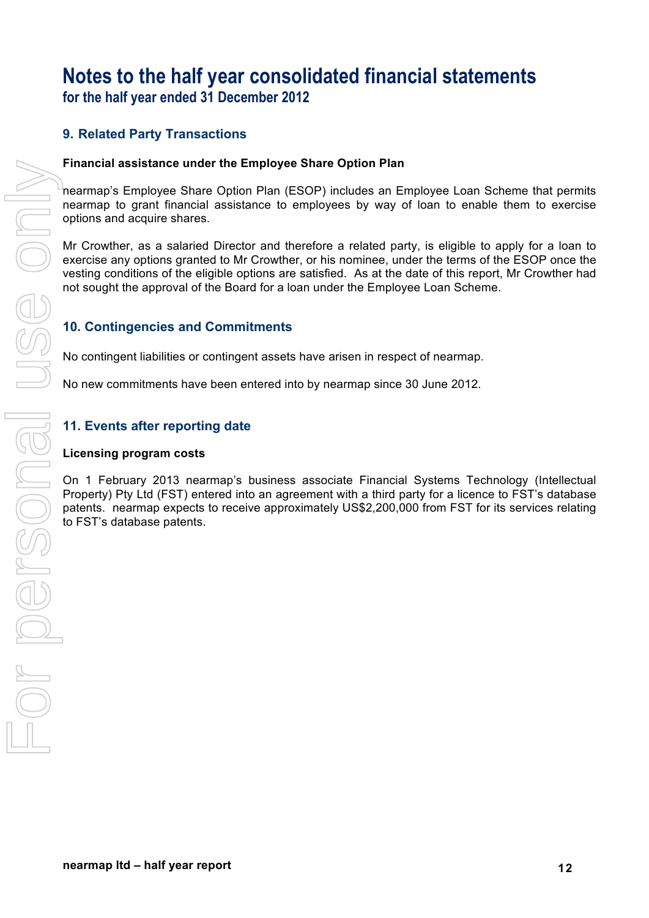### **Notes to the half year consolidated financial statements for the half year ended 31 December 2012**

#### **9. Related Party Transactions**

#### **Financial assistance under the Employee Share Option Plan**

nearmap's Employee Share Option Plan (ESOP) includes an Employee Loan Scheme that permits nearmap to grant financial assistance to employees by way of loan to enable them to exercise options and acquire shares.

Mr Crowther, as a salaried Director and therefore a related party, is eligible to apply for a loan to exercise any options granted to Mr Crowther, or his nominee, under the terms of the ESOP once the vesting conditions of the eligible options are satisfied. As at the date of this report, Mr Crowther had not sought the approval of the Board for a loan under the Employee Loan Scheme.

#### **10. Contingencies and Commitments**

No contingent liabilities or contingent assets have arisen in respect of nearmap.

No new commitments have been entered into by nearmap since 30 June 2012.

#### **11. Events after reporting date**

#### **Licensing program costs**

On 1 February 2013 nearmap's business associate Financial Systems Technology (Intellectual Property) Pty Ltd (FST) entered into an agreement with a third party for a licence to FST's database patents. nearmap expects to receive approximately US\$2,200,000 from FST for its services relating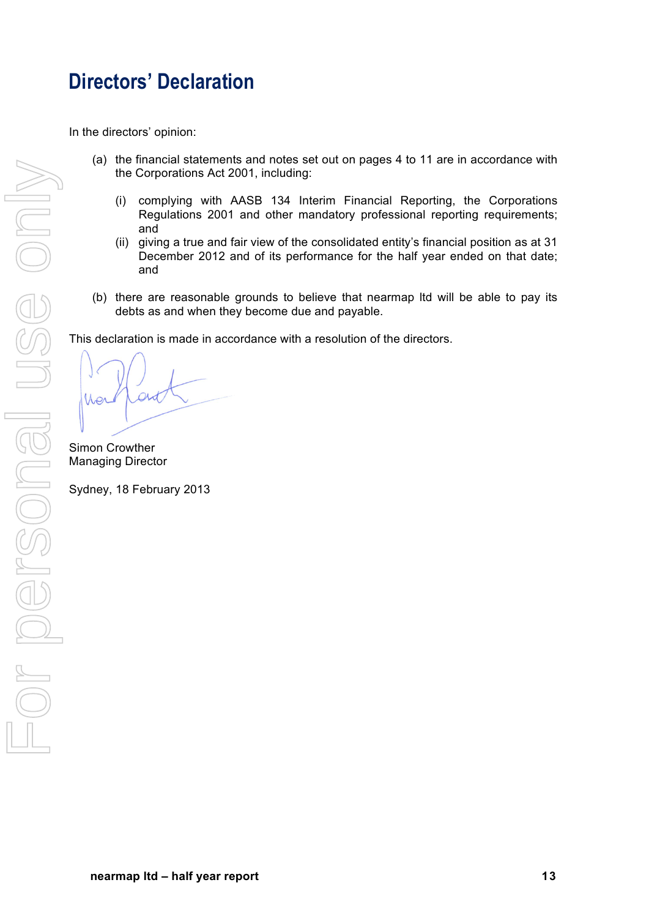## **Directors' Declaration**

In the directors' opinion:

- (a) the financial statements and notes set out on pages 4 to 11 are in accordance with the Corporations Act 2001, including:
	- (i) complying with AASB 134 Interim Financial Reporting, the Corporations Regulations 2001 and other mandatory professional reporting requirements; and
	- (ii) giving a true and fair view of the consolidated entity's financial position as at 31 December 2012 and of its performance for the half year ended on that date; and
- (b) there are reasonable grounds to believe that nearmap ltd will be able to pay its debts as and when they become due and payable.

This declaration is made in accordance with a resolution of the directors.

Simon Crowther Managing Director

Sydney, 18 February 2013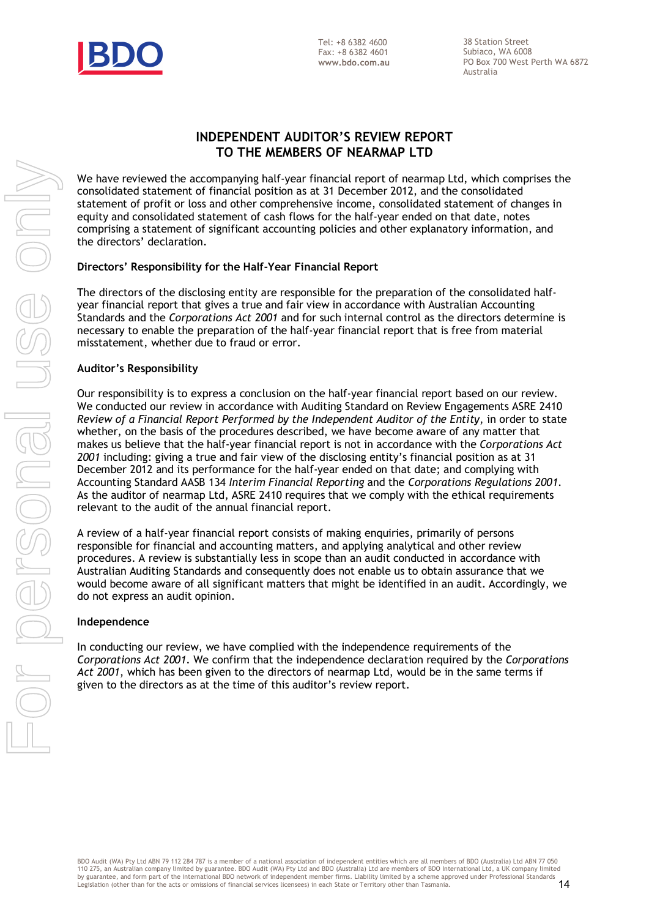

38 Station Street Subiaco, WA 6008 PO Box 700 West Perth WA 6872 Australia

#### **INDEPENDENT AUDITOR'S REVIEW REPORT TO THE MEMBERS OF NEARMAP LTD**

We have reviewed the accompanying half-year financial report of nearmap Ltd, which comprises the consolidated statement of financial position as at 31 December 2012, and the consolidated statement of profit or loss and other comprehensive income, consolidated statement of changes in equity and consolidated statement of cash flows for the half-year ended on that date, notes comprising a statement of significant accounting policies and other explanatory information, and the directors' declaration.

#### **Directors' Responsibility for the Half-Year Financial Report**

The directors of the disclosing entity are responsible for the preparation of the consolidated halfyear financial report that gives a true and fair view in accordance with Australian Accounting Standards and the *Corporations Act 2001* and for such internal control as the directors determine is necessary to enable the preparation of the half-year financial report that is free from material misstatement, whether due to fraud or error.

#### **Auditor's Responsibility**

Our responsibility is to express a conclusion on the half-year financial report based on our review. We conducted our review in accordance with Auditing Standard on Review Engagements ASRE 2410 *Review of a Financial Report Performed by the Independent Auditor of the Entity*, in order to state whether, on the basis of the procedures described, we have become aware of any matter that makes us believe that the half-year financial report is not in accordance with the *Corporations Act 2001* including: giving a true and fair view of the disclosing entity's financial position as at 31 December 2012 and its performance for the half-year ended on that date; and complying with Accounting Standard AASB 134 *Interim Financial Reporting* and the *Corporations Regulations 2001*. As the auditor of nearmap Ltd, ASRE 2410 requires that we comply with the ethical requirements relevant to the audit of the annual financial report. We have measured that accompany in the second method control and with compatible the stretches and the control and the stretches only and the control and the stretches of personal users of control and the control and the

A review of a half-year financial report consists of making enquiries, primarily of persons responsible for financial and accounting matters, and applying analytical and other review procedures. A review is substantially less in scope than an audit conducted in accordance with Australian Auditing Standards and consequently does not enable us to obtain assurance that we would become aware of all significant matters that might be identified in an audit. Accordingly, we do not express an audit opinion.

#### **Independence**

In conducting our review, we have complied with the independence requirements of the *Corporations Act 2001*. We confirm that the independence declaration required by the *Corporations Act 2001*, which has been given to the directors of nearmap Ltd, would be in the same terms if given to the directors as at the time of this auditor's review report.